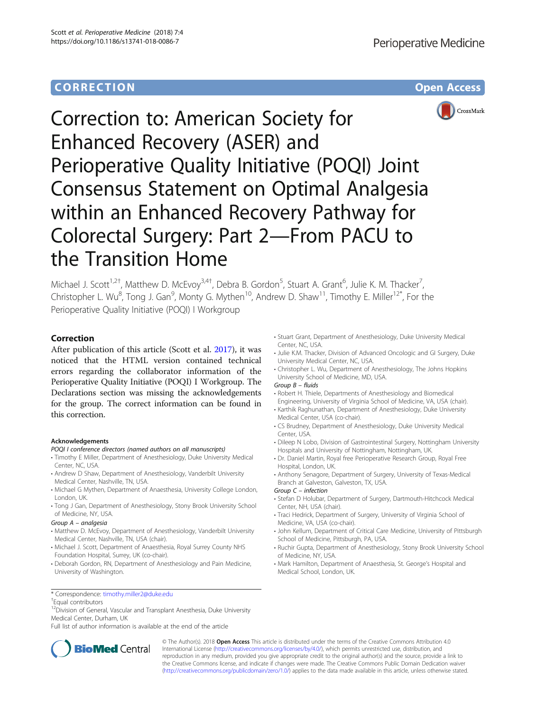



Correction to: American Society for Enhanced Recovery (ASER) and Perioperative Quality Initiative (POQI) Joint Consensus Statement on Optimal Analgesia within an Enhanced Recovery Pathway for Colorectal Surgery: Part 2—From PACU to the Transition Home

Michael J. Scott<sup>1,2†</sup>, Matthew D. McEvoy<sup>3,4†</sup>, Debra B. Gordon<sup>5</sup>, Stuart A. Grant<sup>6</sup>, Julie K. M. Thacker<sup>7</sup> , Christopher L. Wu<sup>8</sup>, Tong J. Gan<sup>9</sup>, Monty G. Mythen<sup>10</sup>, Andrew D. Shaw<sup>11</sup>, Timothy E. Miller<sup>12\*</sup>, For the Perioperative Quality Initiative (POQI) I Workgroup

# Correction

After publication of this article (Scott et al. [2017\)](#page-1-0), it was noticed that the HTML version contained technical errors regarding the collaborator information of the Perioperative Quality Initiative (POQI) I Workgroup. The Declarations section was missing the acknowledgements for the group. The correct information can be found in this correction.

# Acknowledgements

### POQI I conference directors (named authors on all manuscripts)

- Timothy E Miller, Department of Anesthesiology, Duke University Medical Center, NC, USA.
- Andrew D Shaw, Department of Anesthesiology, Vanderbilt University Medical Center, Nashville, TN, USA.
- Michael G Mythen, Department of Anaesthesia, University College London, London, UK.
- Tong J Gan, Department of Anesthesiology, Stony Brook University School of Medicine, NY, USA.

#### Group A – analgesia

- Matthew D. McEvoy, Department of Anesthesiology, Vanderbilt University Medical Center, Nashville, TN, USA (chair).
- Michael J. Scott, Department of Anaesthesia, Royal Surrey County NHS Foundation Hospital, Surrey, UK (co-chair).
- Deborah Gordon, RN, Department of Anesthesiology and Pain Medicine, University of Washington.
- Stuart Grant, Department of Anesthesiology, Duke University Medical Center, NC, USA.
- Julie K.M. Thacker, Division of Advanced Oncologic and GI Surgery, Duke University Medical Center, NC, USA.
- Christopher L. Wu, Department of Anesthesiology, The Johns Hopkins University School of Medicine, MD, USA.
- Group B fluids
- Robert H. Thiele, Departments of Anesthesiology and Biomedical Engineering, University of Virginia School of Medicine, VA, USA (chair).
- Karthik Raghunathan, Department of Anesthesiology, Duke University Medical Center, USA (co-chair).
- CS Brudney, Department of Anesthesiology, Duke University Medical Center, USA.
- Dileep N Lobo, Division of Gastrointestinal Surgery, Nottingham University Hospitals and University of Nottingham, Nottingham, UK.
- Dr. Daniel Martin, Royal free Perioperative Research Group, Royal Free Hospital, London, UK.
- Anthony Senagore, Department of Surgery, University of Texas-Medical Branch at Galveston, Galveston, TX, USA.

#### Group C – infection

- Stefan D Holubar, Department of Surgery, Dartmouth-Hitchcock Medical Center, NH, USA (chair).
- Traci Hedrick, Department of Surgery, University of Virginia School of Medicine, VA, USA (co-chair).
- John Kellum, Department of Critical Care Medicine, University of Pittsburgh School of Medicine, Pittsburgh, PA, USA.
- Ruchir Gupta, Department of Anesthesiology, Stony Brook University School of Medicine, NY, USA.
- Mark Hamilton, Department of Anaesthesia, St. George's Hospital and Medical School, London, UK.

<sup>+</sup>Equal contributors <sup>12</sup>Division of General, Vascular and Transplant Anesthesia, Duke University Medical Center, Durham, UK

Full list of author information is available at the end of the article



\* Correspondence: [timothy.miller2@duke.edu](mailto:timothy.miller2@duke.edu) †

© The Author(s). 2018 **Open Access** This article is distributed under the terms of the Creative Commons Attribution 4.0 International License [\(http://creativecommons.org/licenses/by/4.0/](http://creativecommons.org/licenses/by/4.0/)), which permits unrestricted use, distribution, and reproduction in any medium, provided you give appropriate credit to the original author(s) and the source, provide a link to the Creative Commons license, and indicate if changes were made. The Creative Commons Public Domain Dedication waiver [\(http://creativecommons.org/publicdomain/zero/1.0/](http://creativecommons.org/publicdomain/zero/1.0/)) applies to the data made available in this article, unless otherwise stated.